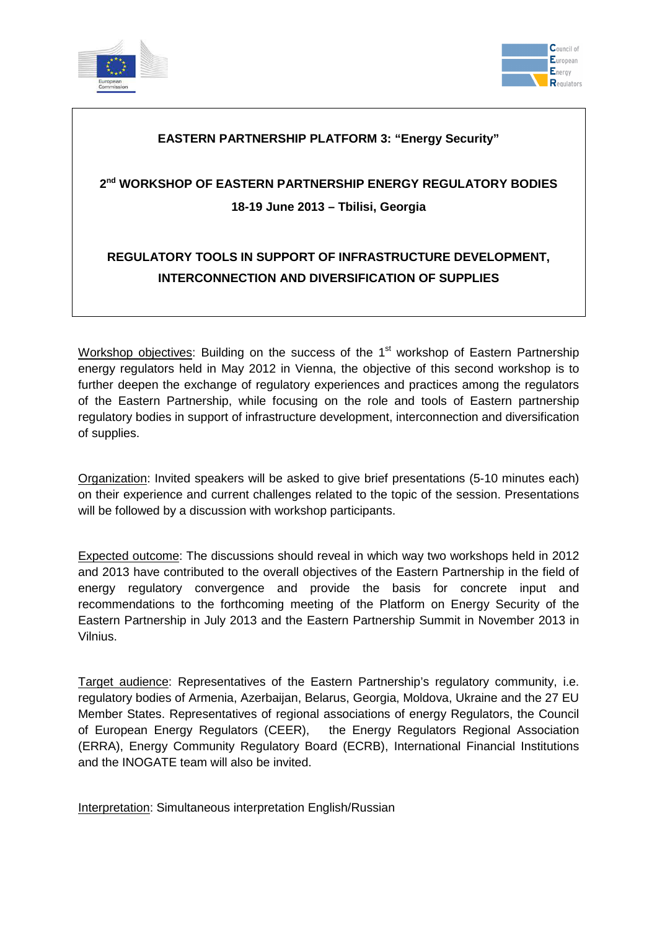



### **EASTERN PARTNERSHIP PLATFORM 3: "Energy Security"**

# **2 nd WORKSHOP OF EASTERN PARTNERSHIP ENERGY REGULATORY BODIES 18-19 June 2013 – Tbilisi, Georgia**

### **REGULATORY TOOLS IN SUPPORT OF INFRASTRUCTURE DEVELOPMENT, INTERCONNECTION AND DIVERSIFICATION OF SUPPLIES**

Workshop objectives: Building on the success of the 1<sup>st</sup> workshop of Eastern Partnership energy regulators held in May 2012 in Vienna, the objective of this second workshop is to further deepen the exchange of regulatory experiences and practices among the regulators of the Eastern Partnership, while focusing on the role and tools of Eastern partnership regulatory bodies in support of infrastructure development, interconnection and diversification of supplies.

Organization: Invited speakers will be asked to give brief presentations (5-10 minutes each) on their experience and current challenges related to the topic of the session. Presentations will be followed by a discussion with workshop participants.

Expected outcome: The discussions should reveal in which way two workshops held in 2012 and 2013 have contributed to the overall objectives of the Eastern Partnership in the field of energy regulatory convergence and provide the basis for concrete input and recommendations to the forthcoming meeting of the Platform on Energy Security of the Eastern Partnership in July 2013 and the Eastern Partnership Summit in November 2013 in Vilnius.

Target audience: Representatives of the Eastern Partnership's regulatory community, i.e. regulatory bodies of Armenia, Azerbaijan, Belarus, Georgia, Moldova, Ukraine and the 27 EU Member States. Representatives of regional associations of energy Regulators, the Council of European Energy Regulators (CEER), the Energy Regulators Regional Association (ERRA), Energy Community Regulatory Board (ECRB), International Financial Institutions and the INOGATE team will also be invited.

Interpretation: Simultaneous interpretation English/Russian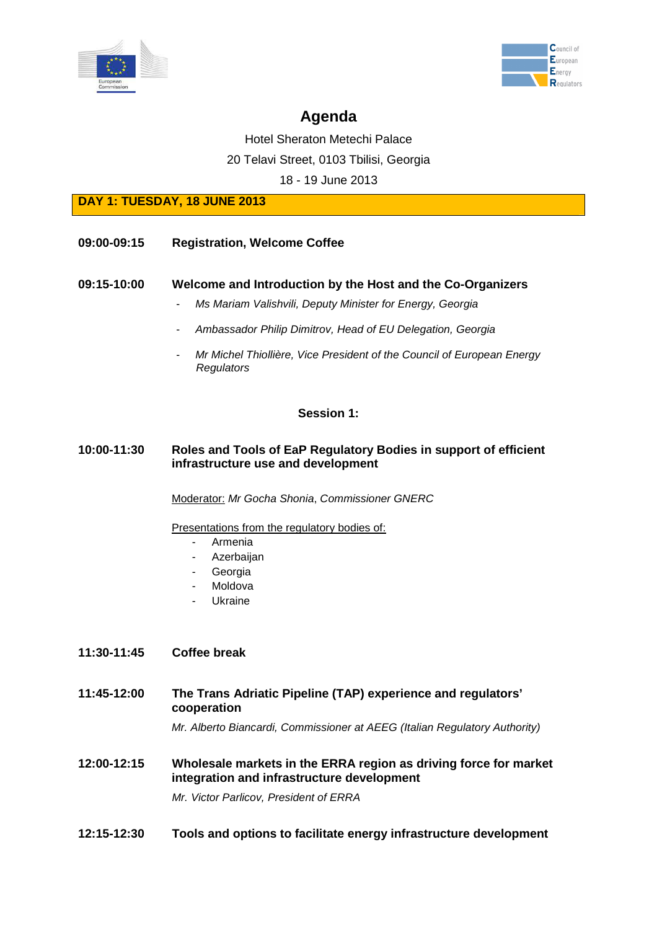



# **Agenda**

Hotel Sheraton Metechi Palace

20 Telavi Street, 0103 Tbilisi, Georgia

18 - 19 June 2013

**DAY 1: TUESDAY, 18 JUNE 2013**

#### **09:00-09:15 Registration, Welcome Coffee**

#### **09:15-10:00 Welcome and Introduction by the Host and the Co-Organizers**

- Ms Mariam Valishvili, Deputy Minister for Energy, Georgia
- Ambassador Philip Dimitrov, Head of EU Delegation, Georgia
- Mr Michel Thiollière, Vice President of the Council of European Energy **Regulators**

#### **Session 1:**

#### **10:00-11:30 Roles and Tools of EaP Regulatory Bodies in support of efficient infrastructure use and development**

Moderator: Mr Gocha Shonia, Commissioner GNERC

Presentations from the regulatory bodies of:

- Armenia
- **Azerbaijan**
- **Georgia**
- **Moldova**
- **Ukraine**

#### **11:30-11:45 Coffee break**

**11:45-12:00 The Trans Adriatic Pipeline (TAP) experience and regulators' cooperation**

Mr. Alberto Biancardi, Commissioner at AEEG (Italian Regulatory Authority)

**12:00-12:15 Wholesale markets in the ERRA region as driving force for market integration and infrastructure development** 

Mr. Victor Parlicov, President of ERRA

#### **12:15-12:30 Tools and options to facilitate energy infrastructure development**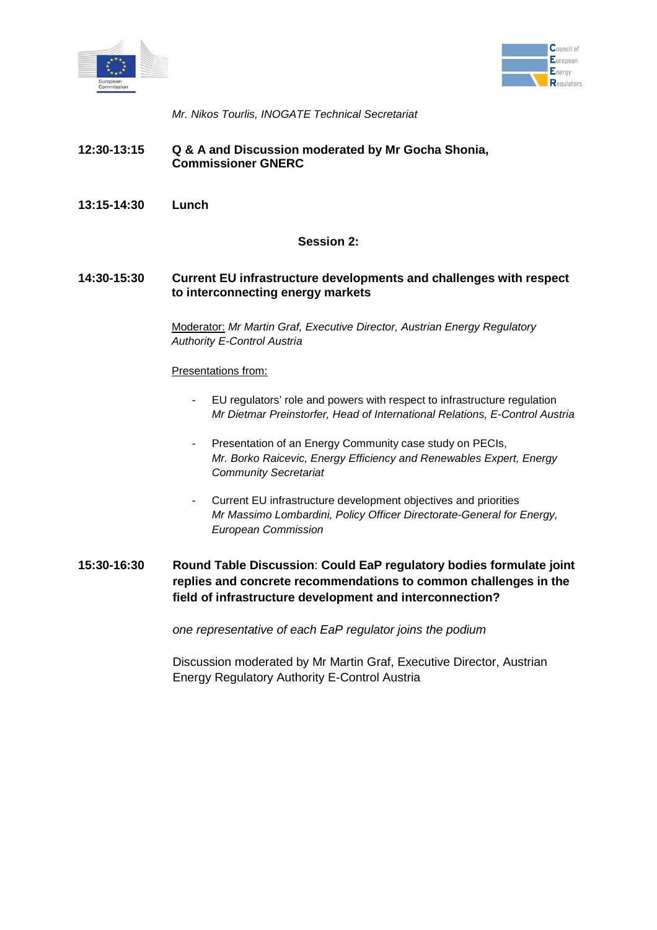



Mr. Nikos Tourlis, INOGATE Technical Secretariat

- **12:30-13:15 Q & A and Discussion moderated by Mr Gocha Shonia, Commissioner GNERC**
- **13:15-14:30 Lunch**

#### **Session 2:**

#### **14:30-15:30 Current EU infrastructure developments and challenges with respect to interconnecting energy markets**

Moderator: Mr Martin Graf, Executive Director, Austrian Energy Regulatory Authority E-Control Austria

#### Presentations from:

- EU regulators' role and powers with respect to infrastructure regulation Mr Dietmar Preinstorfer, Head of International Relations, E-Control Austria
- Presentation of an Energy Community case study on PECIs. Mr. Borko Raicevic, Energy Efficiency and Renewables Expert, Energy Community Secretariat
- Current EU infrastructure development objectives and priorities Mr Massimo Lombardini, Policy Officer Directorate-General for Energy, European Commission
- **15:30-16:30 Round Table Discussion**: **Could EaP regulatory bodies formulate joint replies and concrete recommendations to common challenges in the field of infrastructure development and interconnection?**

one representative of each EaP regulator joins the podium

Discussion moderated by Mr Martin Graf, Executive Director, Austrian Energy Regulatory Authority E-Control Austria